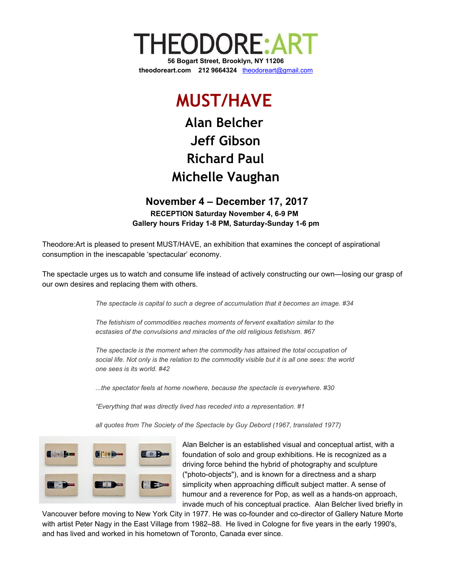

## **MUST/HAVE**

## **Alan Belcher Jeff Gibson Richard Paul Michelle Vaughan**

## **November 4 – December 17, 2017 RECEPTION Saturday November 4, 6-9 PM Gallery hours Friday 1-8 PM, Saturday-Sunday 1-6 pm**

Theodore:Art is pleased to present MUST/HAVE, an exhibition that examines the concept of aspirational consumption in the inescapable 'spectacular' economy.

The spectacle urges us to watch and consume life instead of actively constructing our own—losing our grasp of our own desires and replacing them with others.

*The spectacle is capital to such a degree of accumulation that it becomes an image. #34*

*The fetishism of commodities reaches moments of fervent exaltation similar to the ecstasies of the convulsions and miracles of the old religious fetishism. #67*

*The spectacle is the moment when the commodity has attained the total occupation of* social life. Not only is the relation to the commodity visible but it is all one sees: the world *one sees is its world. #42*

*...the spectator feels at home nowhere, because the spectacle is everywhere. #30*

*"Everything that was directly lived has receded into a representation. #1*

*all quotes from The Society of the Spectacle by Guy Debord (1967, translated 1977)*



Alan Belcher is an established visual and conceptual artist, with a foundation of solo and group exhibitions. He is recognized as a driving force behind the hybrid of photography and sculpture ("photo-objects"), and is known for a directness and a sharp simplicity when approaching difficult subject matter. A sense of humour and a reverence for Pop, as well as a hands-on approach, invade much of his conceptual practice. Alan Belcher lived briefly in

Vancouver before moving to New York City in 1977. He was co-founder and co-director of Gallery Nature Morte with artist Peter Nagy in the East Village from 1982–88. He lived in Cologne for five years in the early 1990's, and has lived and worked in his hometown of Toronto, Canada ever since.